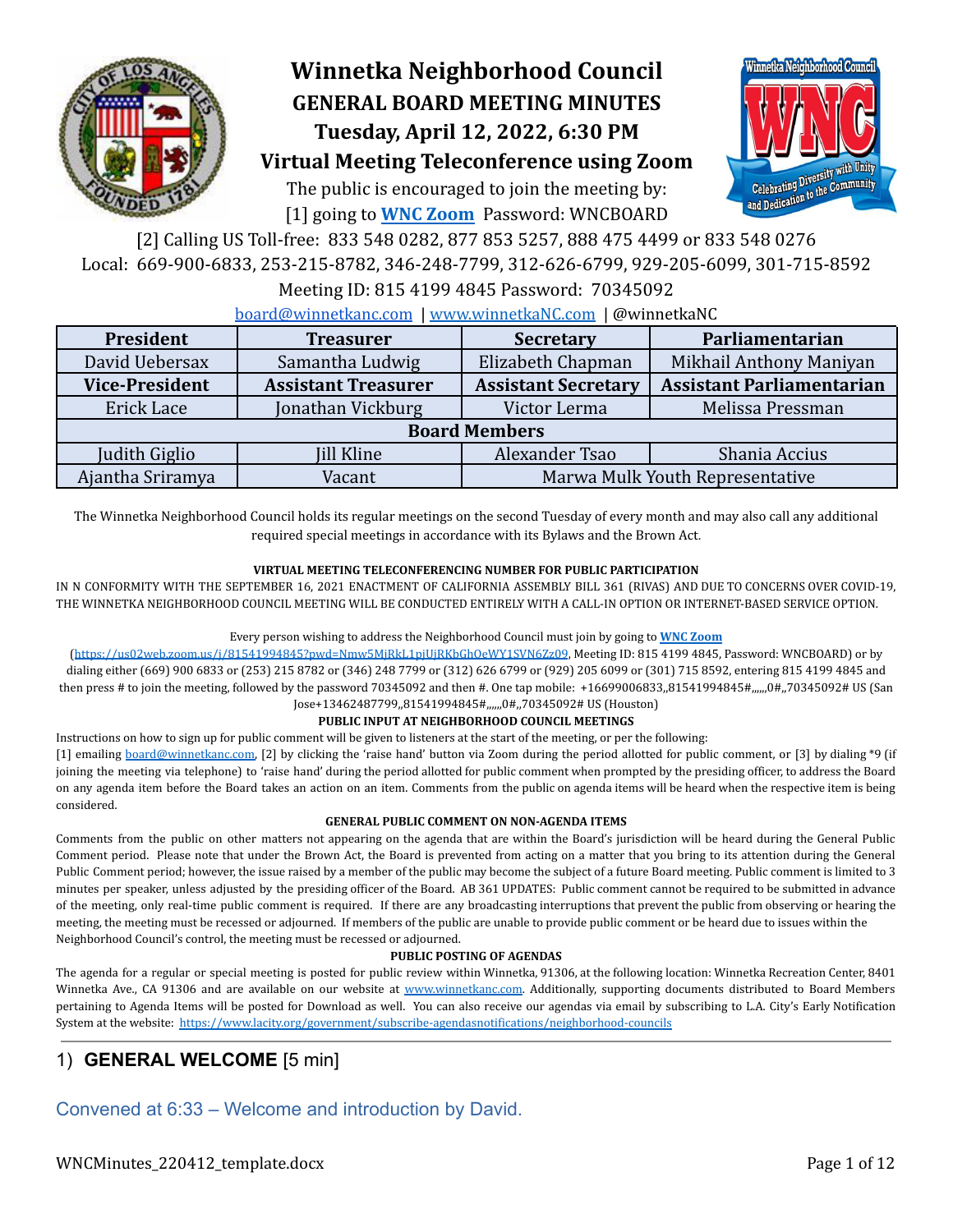

# **Winnetka Neighborhood Council GENERAL BOARD MEETING MINUTES Tuesday, April 12, 2022, 6:30 PM**



The public is encouraged to join the meeting by: [1] going to **[WNC Zoom](https://us02web.zoom.us/j/81541994845?pwd=Nmw5MjRkL1pjUjRKbGhOeWY1SVN6Zz09)** Password: WNCBOARD



[2] Calling US Toll-free: 833 548 0282, 877 853 5257, 888 475 4499 or 833 548 0276 Local: 669-900-6833, 253-215-8782, 346-248-7799, 312-626-6799, 929-205-6099, 301-715-8592

#### Meeting ID: 815 4199 4845 Password: 70345092

[board@winnetkanc.com](mailto:board@winnetkanc.com) | [www.winnetkaNC.com](http://www.winnetkanc.com) | @winnetkaNC

| President             | <b>Treasurer</b>           |                                 | Parliamentarian                  |  |  |  |  |  |  |
|-----------------------|----------------------------|---------------------------------|----------------------------------|--|--|--|--|--|--|
| David Uebersax        | Samantha Ludwig            | Elizabeth Chapman               | Mikhail Anthony Maniyan          |  |  |  |  |  |  |
| <b>Vice-President</b> | <b>Assistant Treasurer</b> | <b>Assistant Secretary</b>      | <b>Assistant Parliamentarian</b> |  |  |  |  |  |  |
| Erick Lace            | Jonathan Vickburg          | Victor Lerma                    | Melissa Pressman                 |  |  |  |  |  |  |
| <b>Board Members</b>  |                            |                                 |                                  |  |  |  |  |  |  |
| Judith Giglio         | <b>Jill Kline</b>          | Alexander Tsao                  | Shania Accius                    |  |  |  |  |  |  |
| Ajantha Sriramya      | Vacant                     | Marwa Mulk Youth Representative |                                  |  |  |  |  |  |  |

The Winnetka Neighborhood Council holds its regular meetings on the second Tuesday of every month and may also call any additional required special meetings in accordance with its Bylaws and the Brown Act.

#### **VIRTUAL MEETING TELECONFERENCING NUMBER FOR PUBLIC PARTICIPATION**

IN N CONFORMITY WITH THE SEPTEMBER 16, 2021 ENACTMENT OF CALIFORNIA ASSEMBLY BILL 361 (RIVAS) AND DUE TO CONCERNS OVER COVID-19, THE WINNETKA NEIGHBORHOOD COUNCIL MEETING WILL BE CONDUCTED ENTIRELY WITH A CALL-IN OPTION OR INTERNET-BASED SERVICE OPTION.

#### Every person wishing to address the Neighborhood Council must join by going to **WNC [Zoom](https://us02web.zoom.us/j/81541994845?pwd=Nmw5MjRkL1pjUjRKbGhOeWY1SVN6Zz09)**

(<https://us02web.zoom.us/j/81541994845?pwd=Nmw5MjRkL1pjUjRKbGhOeWY1SVN6Zz09>, Meeting ID: 815 4199 4845, Password: WNCBOARD) or by dialing either (669) 900 6833 or (253) 215 8782 or (346) 248 7799 or (312) 626 6799 or (929) 205 6099 or (301) 715 8592, entering 815 4199 4845 and then press # to join the meeting, followed by the password 70345092 and then #. One tap mobile: +16699006833,,81541994845#,,,,,,0#,,70345092# US (San Jose+13462487799,,81541994845#,,,,,,0#,,70345092# US (Houston)

#### **PUBLIC INPUT AT NEIGHBORHOOD COUNCIL MEETINGS**

Instructions on how to sign up for public comment will be given to listeners at the start of the meeting, or per the following:

[1] emailing [board@winnetkanc.com,](mailto:board@winnetkanc.com) [2] by clicking the 'raise hand' button via Zoom during the period allotted for public comment, or [3] by dialing \*9 (if joining the meeting via telephone) to 'raise hand' during the period allotted for public comment when prompted by the presiding officer, to address the Board on any agenda item before the Board takes an action on an item. Comments from the public on agenda items will be heard when the respective item is being considered.

#### **GENERAL PUBLIC COMMENT ON NON-AGENDA ITEMS**

Comments from the public on other matters not appearing on the agenda that are within the Board's jurisdiction will be heard during the General Public Comment period. Please note that under the Brown Act, the Board is prevented from acting on a matter that you bring to its attention during the General Public Comment period; however, the issue raised by a member of the public may become the subject of a future Board meeting. Public comment is limited to 3 minutes per speaker, unless adjusted by the presiding officer of the Board. AB 361 UPDATES: Public comment cannot be required to be submitted in advance of the meeting, only real-time public comment is required. If there are any broadcasting interruptions that prevent the public from observing or hearing the meeting, the meeting must be recessed or adjourned. If members of the public are unable to provide public comment or be heard due to issues within the Neighborhood Council's control, the meeting must be recessed or adjourned.

#### **PUBLIC POSTING OF AGENDAS**

The agenda for a regular or special meeting is posted for public review within Winnetka, 91306, at the following location: Winnetka Recreation Center, 8401 Winnetka Ave., CA 91306 and are available on our website at www.winnetkanc.com. Additionally, supporting documents distributed to Board Members pertaining to Agenda Items will be posted for Download as well. You can also receive our agendas via email by subscribing to L.A. City's Early Notification System at the website: <https://www.lacity.org/government/subscribe-agendasnotifications/neighborhood-councils>

### 1) **GENERAL WELCOME** [5 min]

Convened at 6:33 – Welcome and introduction by David.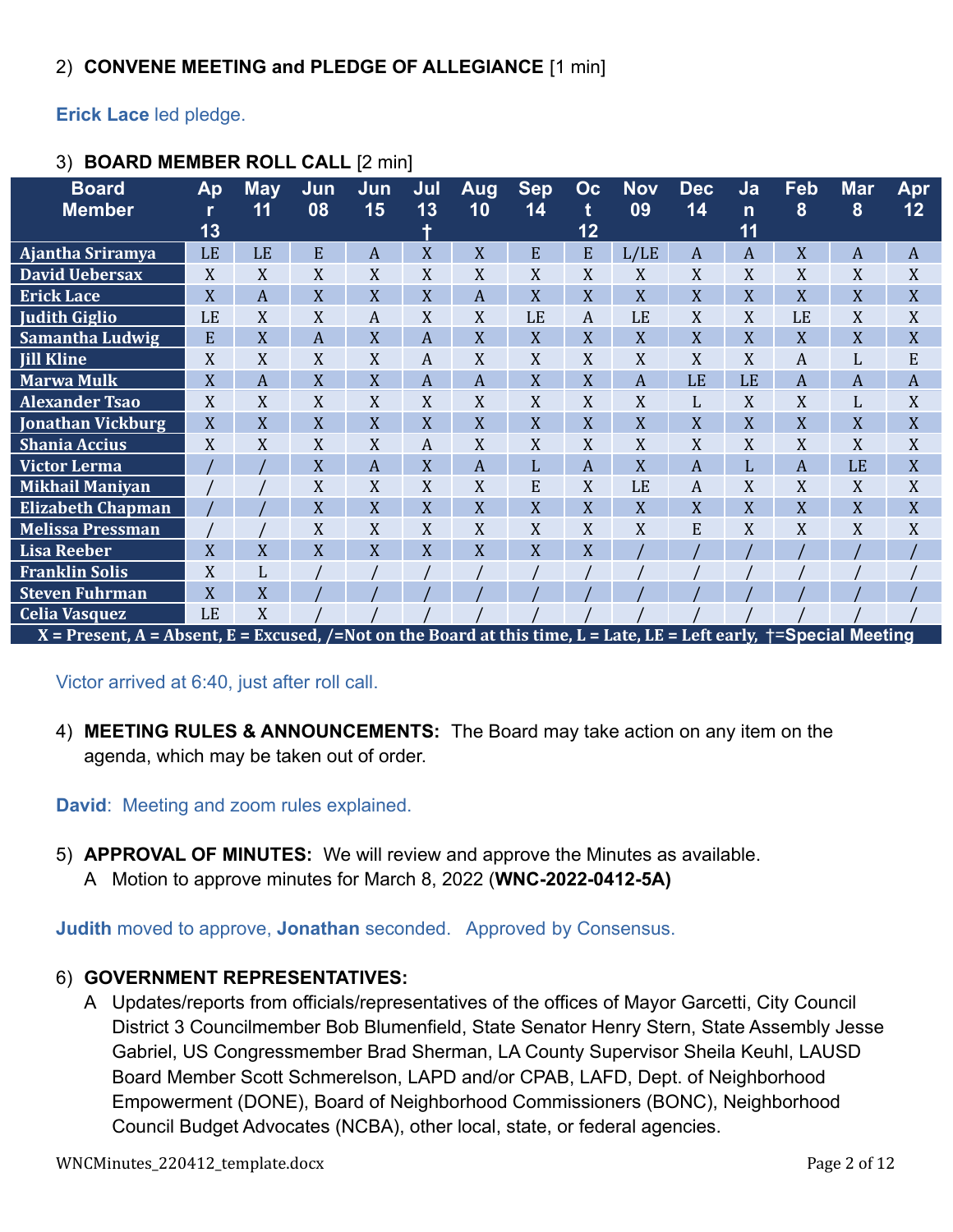**Erick Lace** led pledge.

| <b>Board</b>                                                                                                        | Ap | <b>May</b> | Jun | Jun | Jul | <b>Aug</b> | <b>Sep</b> | Oc             | <b>Nov</b> | <b>Dec</b>       | Ja             | <b>Feb</b> | <b>Mar</b>     | Apr              |
|---------------------------------------------------------------------------------------------------------------------|----|------------|-----|-----|-----|------------|------------|----------------|------------|------------------|----------------|------------|----------------|------------------|
| <b>Member</b>                                                                                                       |    | 11         | 08  | 15  | 13  | 10         | 14         | t              | 09         | 14               | $\mathsf{n}$   | 8          | 8              | 12               |
|                                                                                                                     | 13 |            |     |     |     |            |            | 12             |            |                  | 11             |            |                |                  |
| Ajantha Sriramya                                                                                                    | LE | LE         | E   | A   | X   | X          | E          | E              | L/LE       | $\boldsymbol{A}$ | $\overline{A}$ | X          | A              | $\boldsymbol{A}$ |
| <b>David Uebersax</b>                                                                                               | X  | X          | X   | X   | X   | X          | X          | X              | X          | X                | X              | X          | X              | X                |
| <b>Erick Lace</b>                                                                                                   | X  | A          | X   | X   | X   | A          | X          | X              | X          | X                | X              | X          | X              | X                |
| <b>Judith Giglio</b>                                                                                                | LE | X          | X   | A   | X   | X          | LE         | $\overline{A}$ | LE         | X                | X              | LE         | X              | X                |
| Samantha Ludwig                                                                                                     | E  | X          | A   | X   | A   | X          | X          | X              | X          | X                | X              | X          | X              | X                |
| <b>Jill Kline</b>                                                                                                   | X  | X          | X   | X   | A   | X          | X          | X              | X          | X                | X              | A          | L              | E                |
| <b>Marwa Mulk</b>                                                                                                   | X  | A          | X   | X   | A   | A          | X          | X              | A          | LE               | LE             | A          | $\overline{A}$ | A                |
| <b>Alexander Tsao</b>                                                                                               | X  | X          | X   | X   | X   | X          | X          | X              | X          | L                | X              | X          | L              | X                |
| <b>Jonathan Vickburg</b>                                                                                            | X  | X          | X   | X   | X   | X          | X          | X              | X          | X                | X              | X          | X              | X                |
| <b>Shania Accius</b>                                                                                                | X  | X          | X   | X   | A   | X          | X          | X              | X          | X                | X              | X          | X              | X                |
| <b>Victor Lerma</b>                                                                                                 |    |            | X   | A   | X   | A          | L          | A              | X          | A                | L              | A          | LE             | X                |
| <b>Mikhail Maniyan</b>                                                                                              |    |            | X   | X   | X   | X          | E          | X              | LE         | A                | X              | X          | X              | X                |
| <b>Elizabeth Chapman</b>                                                                                            |    |            | X   | X   | X   | X          | X          | X              | X          | X                | X              | X          | X              | X                |
| <b>Melissa Pressman</b>                                                                                             |    |            | X   | X   | X   | X          | X          | X              | X          | E                | X              | X          | X              | X                |
| <b>Lisa Reeber</b>                                                                                                  | X  | X          | X   | X   | X   | X          | X          | X              |            |                  |                |            |                |                  |
| <b>Franklin Solis</b>                                                                                               | X  | L          |     |     |     |            |            |                |            |                  |                |            |                |                  |
| <b>Steven Fuhrman</b>                                                                                               | X  | X          |     |     |     |            |            |                |            |                  |                |            |                |                  |
| <b>Celia Vasquez</b>                                                                                                | LE | X          |     |     |     |            |            |                |            |                  |                |            |                |                  |
| X = Present, A = Absent, E = Excused, /=Not on the Board at this time, L = Late, LE = Left early, †=Special Meeting |    |            |     |     |     |            |            |                |            |                  |                |            |                |                  |

# 3) **BOARD MEMBER ROLL CALL** [2 min]

Victor arrived at 6:40, just after roll call.

4) **MEETING RULES & ANNOUNCEMENTS:** The Board may take action on any item on the agenda, which may be taken out of order.

**David**: Meeting and zoom rules explained.

5) **APPROVAL OF MINUTES:** We will review and approve the Minutes as available. A Motion to approve minutes for March 8, 2022 (**WNC-2022-0412-5A)**

**Judith** moved to approve, **Jonathan** seconded. Approved by Consensus.

# 6) **GOVERNMENT REPRESENTATIVES:**

A Updates/reports from officials/representatives of the offices of Mayor Garcetti, City Council District 3 Councilmember Bob Blumenfield, State Senator Henry Stern, State Assembly Jesse Gabriel, US Congressmember Brad Sherman, LA County Supervisor Sheila Keuhl, LAUSD Board Member Scott Schmerelson, LAPD and/or CPAB, LAFD, Dept. of Neighborhood Empowerment (DONE), Board of Neighborhood Commissioners (BONC), Neighborhood Council Budget Advocates (NCBA), other local, state, or federal agencies.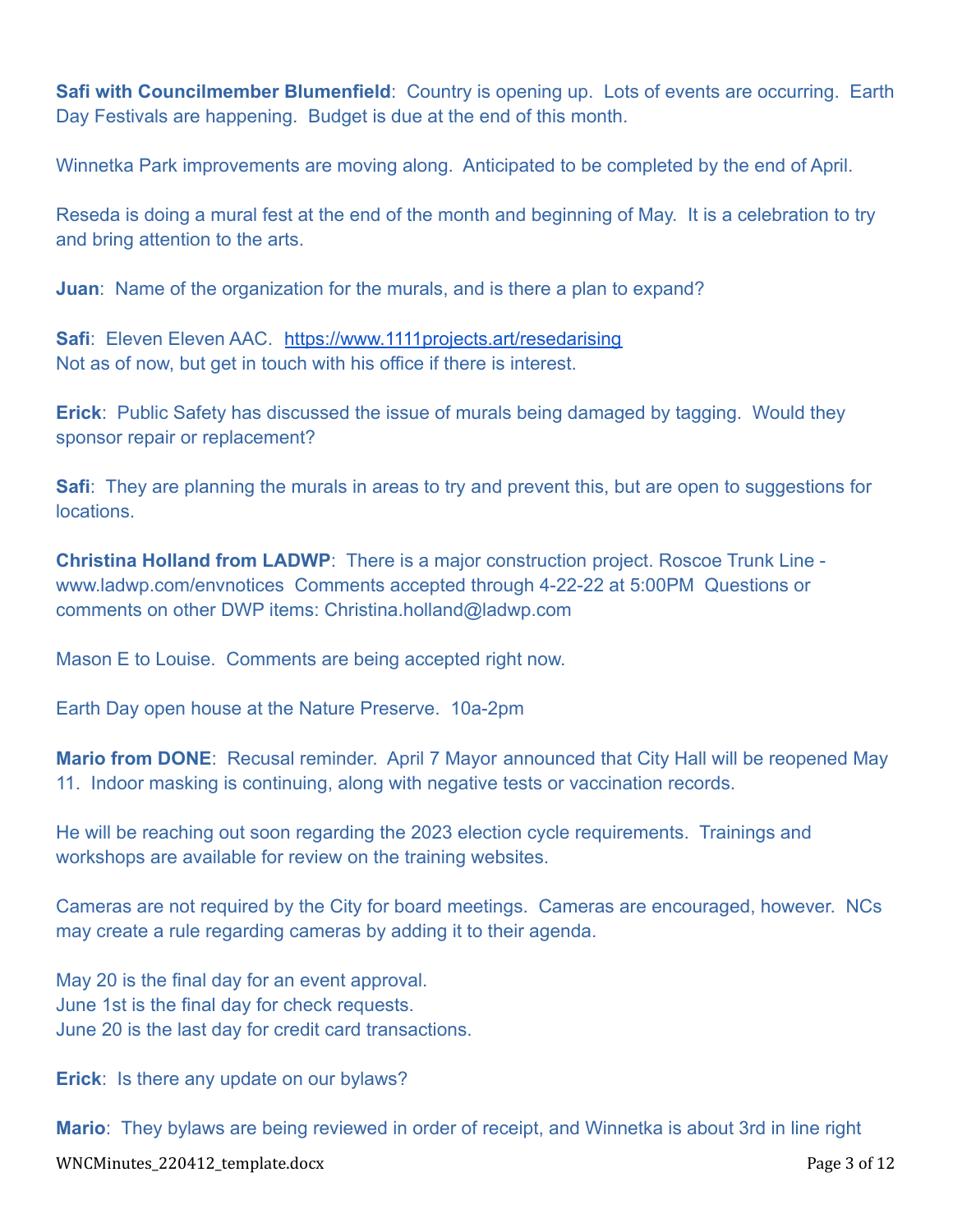**Safi with Councilmember Blumenfield:** Country is opening up. Lots of events are occurring. Earth Day Festivals are happening. Budget is due at the end of this month.

Winnetka Park improvements are moving along. Anticipated to be completed by the end of April.

Reseda is doing a mural fest at the end of the month and beginning of May. It is a celebration to try and bring attention to the arts.

**Juan**: Name of the organization for the murals, and is there a plan to expand?

**Safi**: Eleven Eleven AAC. <https://www.1111projects.art/resedarising> Not as of now, but get in touch with his office if there is interest.

**Erick**: Public Safety has discussed the issue of murals being damaged by tagging. Would they sponsor repair or replacement?

**Safi**: They are planning the murals in areas to try and prevent this, but are open to suggestions for locations.

**Christina Holland from LADWP**: There is a major construction project. Roscoe Trunk Line www.ladwp.com/envnotices Comments accepted through 4-22-22 at 5:00PM Questions or comments on other DWP items: Christina.holland@ladwp.com

Mason E to Louise. Comments are being accepted right now.

Earth Day open house at the Nature Preserve. 10a-2pm

**Mario from DONE**: Recusal reminder. April 7 Mayor announced that City Hall will be reopened May 11. Indoor masking is continuing, along with negative tests or vaccination records.

He will be reaching out soon regarding the 2023 election cycle requirements. Trainings and workshops are available for review on the training websites.

Cameras are not required by the City for board meetings. Cameras are encouraged, however. NCs may create a rule regarding cameras by adding it to their agenda.

May 20 is the final day for an event approval. June 1st is the final day for check requests. June 20 is the last day for credit card transactions.

**Erick**: Is there any update on our bylaws?

**Mario**: They bylaws are being reviewed in order of receipt, and Winnetka is about 3rd in line right

WNCMinutes\_220412\_template.docx Page 3 of 12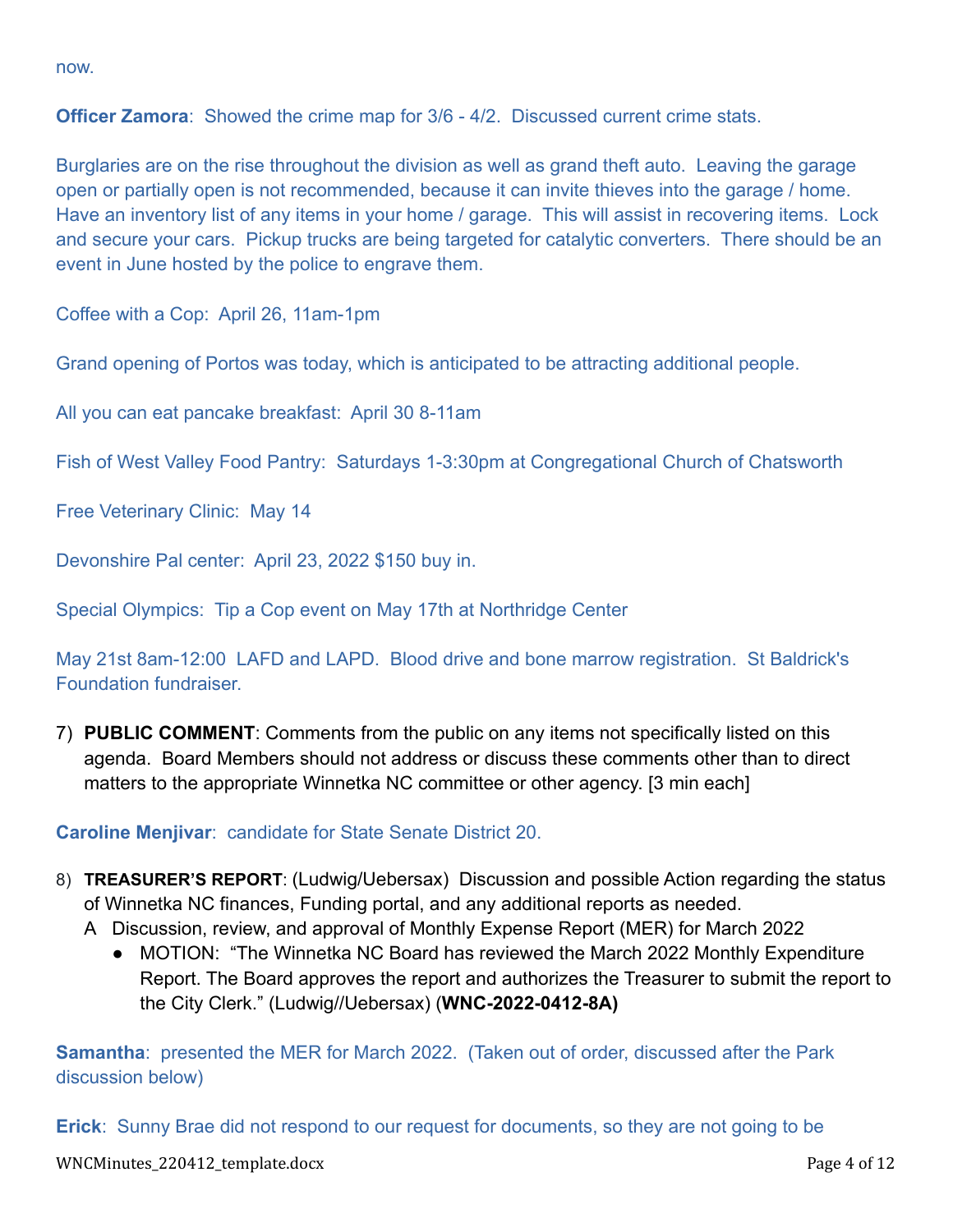now.

**Officer Zamora**: Showed the crime map for 3/6 - 4/2. Discussed current crime stats.

Burglaries are on the rise throughout the division as well as grand theft auto. Leaving the garage open or partially open is not recommended, because it can invite thieves into the garage / home. Have an inventory list of any items in your home / garage. This will assist in recovering items. Lock and secure your cars. Pickup trucks are being targeted for catalytic converters. There should be an event in June hosted by the police to engrave them.

Coffee with a Cop: April 26, 11am-1pm

Grand opening of Portos was today, which is anticipated to be attracting additional people.

All you can eat pancake breakfast: April 30 8-11am

Fish of West Valley Food Pantry: Saturdays 1-3:30pm at Congregational Church of Chatsworth

Free Veterinary Clinic: May 14

Devonshire Pal center: April 23, 2022 \$150 buy in.

Special Olympics: Tip a Cop event on May 17th at Northridge Center

May 21st 8am-12:00 LAFD and LAPD. Blood drive and bone marrow registration. St Baldrick's Foundation fundraiser.

7) **PUBLIC COMMENT**: Comments from the public on any items not specifically listed on this agenda. Board Members should not address or discuss these comments other than to direct matters to the appropriate Winnetka NC committee or other agency. [3 min each]

**Caroline Menjivar**: candidate for State Senate District 20.

- 8) **TREASURER'S REPORT**: (Ludwig/Uebersax) Discussion and possible Action regarding the status of Winnetka NC finances, Funding portal, and any additional reports as needed.
	- A Discussion, review, and approval of Monthly Expense Report (MER) for March 2022
		- MOTION: "The Winnetka NC Board has reviewed the March 2022 Monthly Expenditure Report. The Board approves the report and authorizes the Treasurer to submit the report to the City Clerk." (Ludwig//Uebersax) (**WNC-2022-0412-8A)**

**Samantha**: presented the MER for March 2022. (Taken out of order, discussed after the Park discussion below)

**Erick**: Sunny Brae did not respond to our request for documents, so they are not going to be

WNCMinutes\_220412\_template.docx Page 4 of 12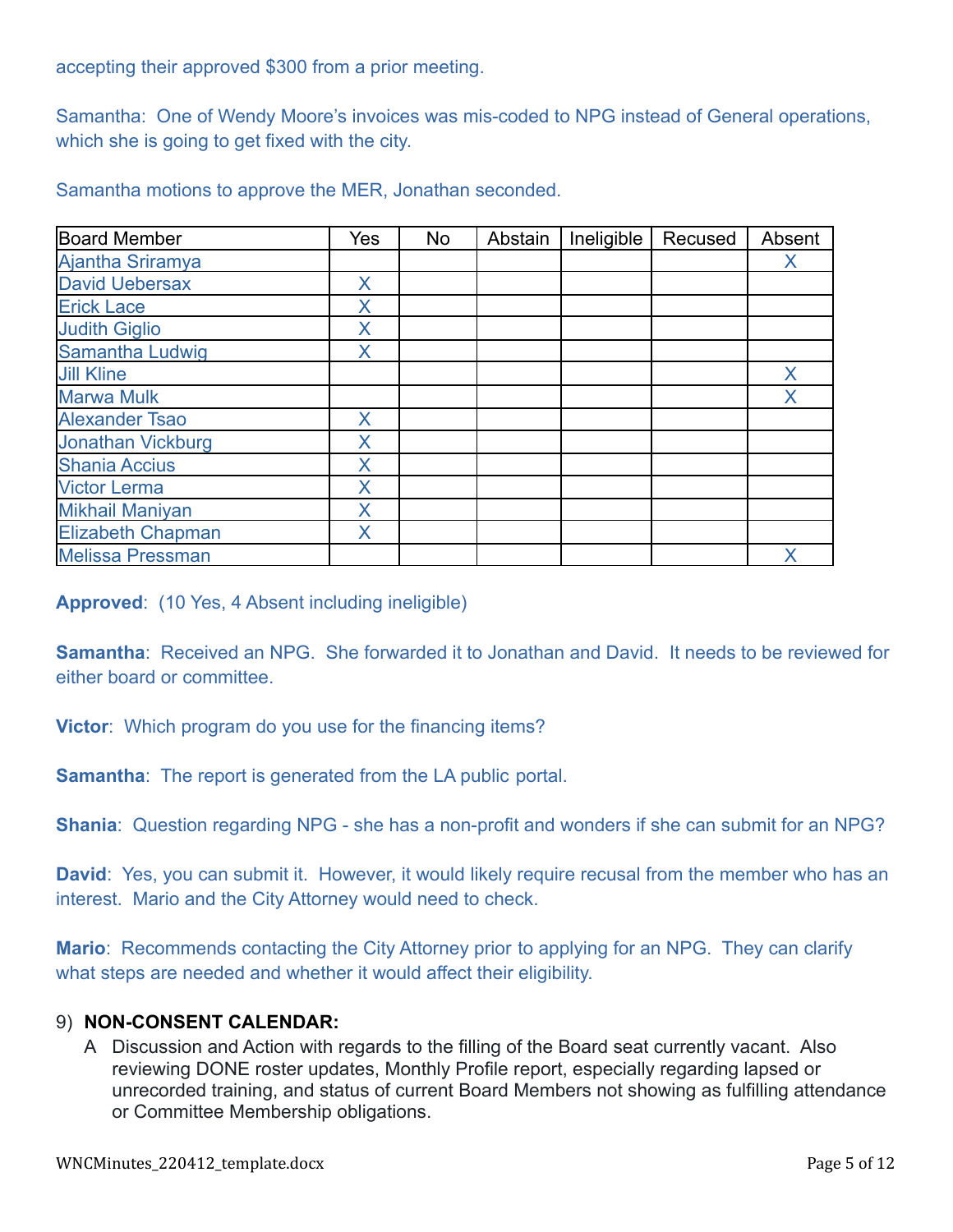accepting their approved \$300 from a prior meeting.

Samantha: One of Wendy Moore's invoices was mis-coded to NPG instead of General operations, which she is going to get fixed with the city.

Samantha motions to approve the MER, Jonathan seconded.

| <b>Board Member</b>      | Yes | No | Abstain | Ineligible | Recused | Absent |
|--------------------------|-----|----|---------|------------|---------|--------|
| Ajantha Sriramya         |     |    |         |            |         | Χ      |
| <b>David Uebersax</b>    | X   |    |         |            |         |        |
| <b>Erick Lace</b>        | Χ   |    |         |            |         |        |
| <b>Judith Giglio</b>     | X   |    |         |            |         |        |
| Samantha Ludwig          | Χ   |    |         |            |         |        |
| <b>Jill Kline</b>        |     |    |         |            |         | Χ      |
| <b>Marwa Mulk</b>        |     |    |         |            |         | Χ      |
| <b>Alexander Tsao</b>    | X   |    |         |            |         |        |
| <b>Jonathan Vickburg</b> | Χ   |    |         |            |         |        |
| <b>Shania Accius</b>     | X   |    |         |            |         |        |
| <b>Victor Lerma</b>      | Χ   |    |         |            |         |        |
| <b>Mikhail Maniyan</b>   | X   |    |         |            |         |        |
| <b>Elizabeth Chapman</b> | X   |    |         |            |         |        |
| <b>Melissa Pressman</b>  |     |    |         |            |         | Х      |

**Approved**: (10 Yes, 4 Absent including ineligible)

**Samantha**: Received an NPG. She forwarded it to Jonathan and David. It needs to be reviewed for either board or committee.

**Victor**: Which program do you use for the financing items?

**Samantha**: The report is generated from the LA public portal.

**Shania**: Question regarding NPG - she has a non-profit and wonders if she can submit for an NPG?

**David**: Yes, you can submit it. However, it would likely require recusal from the member who has an interest. Mario and the City Attorney would need to check.

**Mario**: Recommends contacting the City Attorney prior to applying for an NPG. They can clarify what steps are needed and whether it would affect their eligibility.

### 9) **NON-CONSENT CALENDAR:**

A Discussion and Action with regards to the filling of the Board seat currently vacant. Also reviewing DONE roster updates, Monthly Profile report, especially regarding lapsed or unrecorded training, and status of current Board Members not showing as fulfilling attendance or Committee Membership obligations.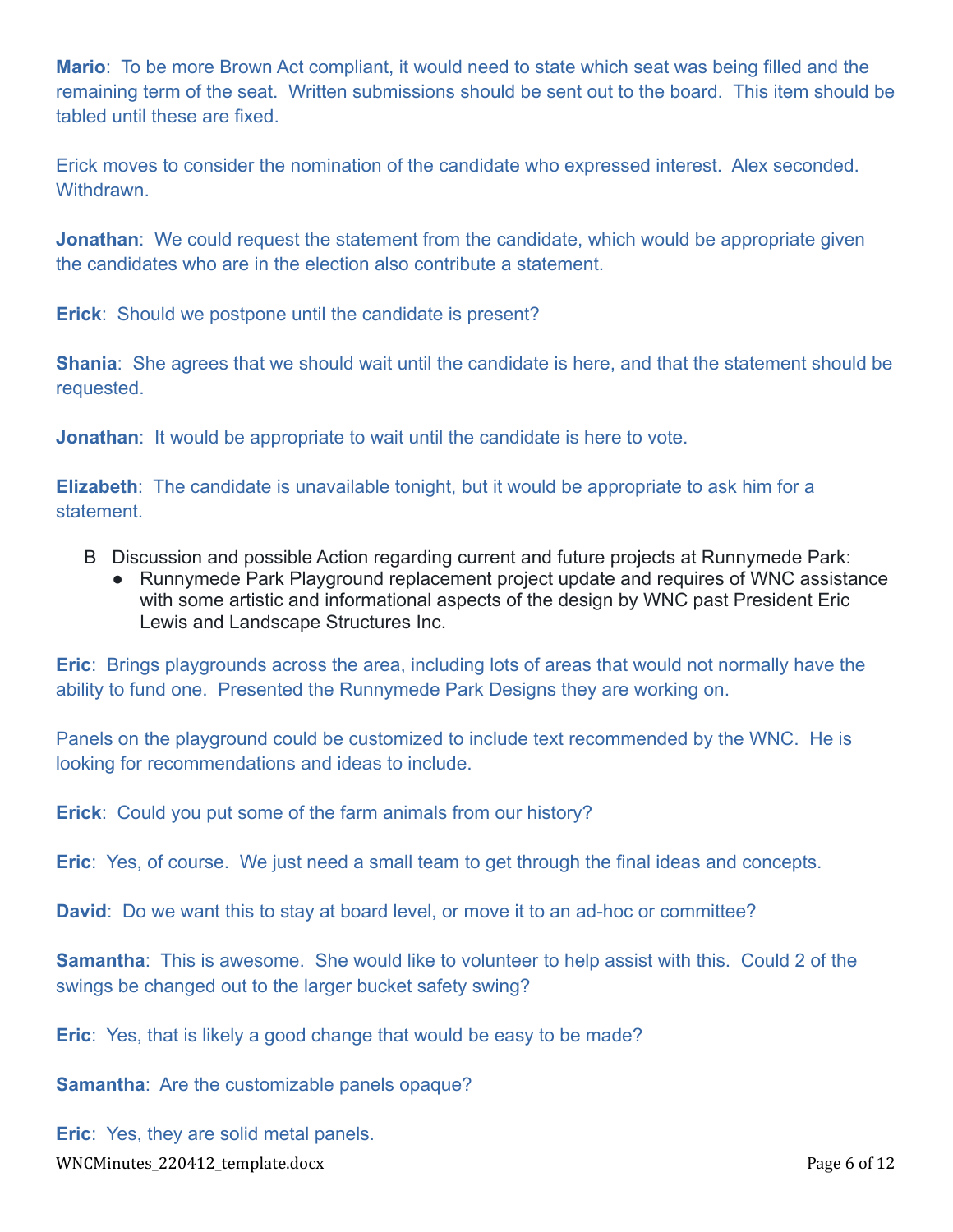**Mario**: To be more Brown Act compliant, it would need to state which seat was being filled and the remaining term of the seat. Written submissions should be sent out to the board. This item should be tabled until these are fixed.

Erick moves to consider the nomination of the candidate who expressed interest. Alex seconded. Withdrawn.

**Jonathan**: We could request the statement from the candidate, which would be appropriate given the candidates who are in the election also contribute a statement.

**Erick**: Should we postpone until the candidate is present?

**Shania**: She agrees that we should wait until the candidate is here, and that the statement should be requested.

**Jonathan**: It would be appropriate to wait until the candidate is here to vote.

**Elizabeth**: The candidate is unavailable tonight, but it would be appropriate to ask him for a statement.

- B Discussion and possible Action regarding current and future projects at Runnymede Park:
	- Runnymede Park Playground replacement project update and requires of WNC assistance with some artistic and informational aspects of the design by WNC past President Eric Lewis and Landscape Structures Inc.

**Eric**: Brings playgrounds across the area, including lots of areas that would not normally have the ability to fund one. Presented the Runnymede Park Designs they are working on.

Panels on the playground could be customized to include text recommended by the WNC. He is looking for recommendations and ideas to include.

**Erick**: Could you put some of the farm animals from our history?

**Eric**: Yes, of course. We just need a small team to get through the final ideas and concepts.

**David**: Do we want this to stay at board level, or move it to an ad-hoc or committee?

**Samantha**: This is awesome. She would like to volunteer to help assist with this. Could 2 of the swings be changed out to the larger bucket safety swing?

**Eric**: Yes, that is likely a good change that would be easy to be made?

**Samantha**: Are the customizable panels opaque?

**Eric**: Yes, they are solid metal panels. WNCMinutes\_220412\_template.docx Page 6 of 12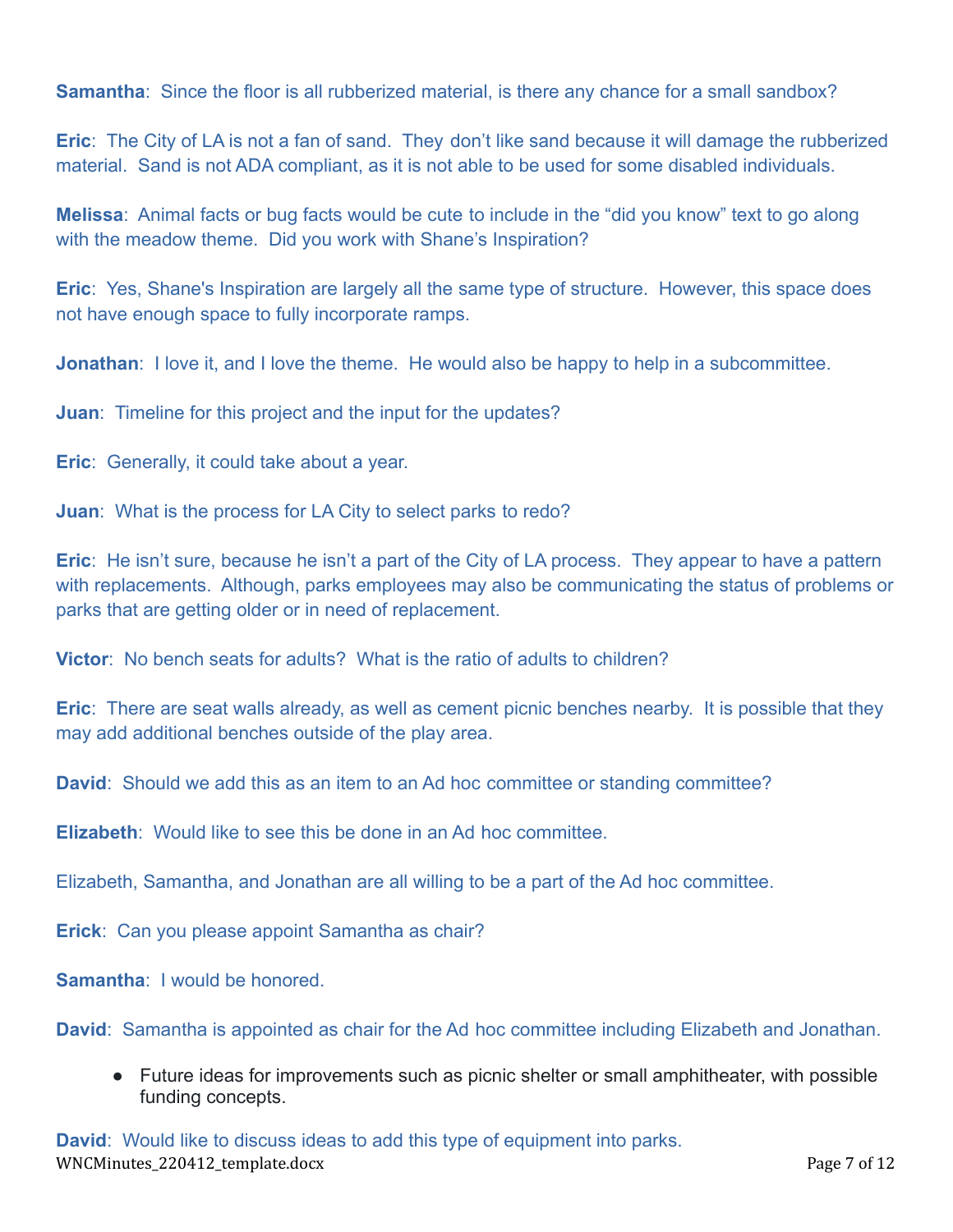**Samantha**: Since the floor is all rubberized material, is there any chance for a small sandbox?

**Eric**: The City of LA is not a fan of sand. They don't like sand because it will damage the rubberized material. Sand is not ADA compliant, as it is not able to be used for some disabled individuals.

**Melissa**: Animal facts or bug facts would be cute to include in the "did you know" text to go along with the meadow theme. Did you work with Shane's Inspiration?

**Eric**: Yes, Shane's Inspiration are largely all the same type of structure. However, this space does not have enough space to fully incorporate ramps.

**Jonathan**: I love it, and I love the theme. He would also be happy to help in a subcommittee.

**Juan**: Timeline for this project and the input for the updates?

**Eric**: Generally, it could take about a year.

**Juan**: What is the process for LA City to select parks to redo?

**Eric**: He isn't sure, because he isn't a part of the City of LA process. They appear to have a pattern with replacements. Although, parks employees may also be communicating the status of problems or parks that are getting older or in need of replacement.

**Victor**: No bench seats for adults? What is the ratio of adults to children?

**Eric**: There are seat walls already, as well as cement picnic benches nearby. It is possible that they may add additional benches outside of the play area.

**David**: Should we add this as an item to an Ad hoc committee or standing committee?

**Elizabeth**: Would like to see this be done in an Ad hoc committee.

Elizabeth, Samantha, and Jonathan are all willing to be a part of the Ad hoc committee.

**Erick**: Can you please appoint Samantha as chair?

**Samantha**: I would be honored.

**David**: Samantha is appointed as chair for the Ad hoc committee including Elizabeth and Jonathan.

● Future ideas for improvements such as picnic shelter or small amphitheater, with possible funding concepts.

**David**: Would like to discuss ideas to add this type of equipment into parks. WNCMinutes\_220412\_template.docx Page 7 of 12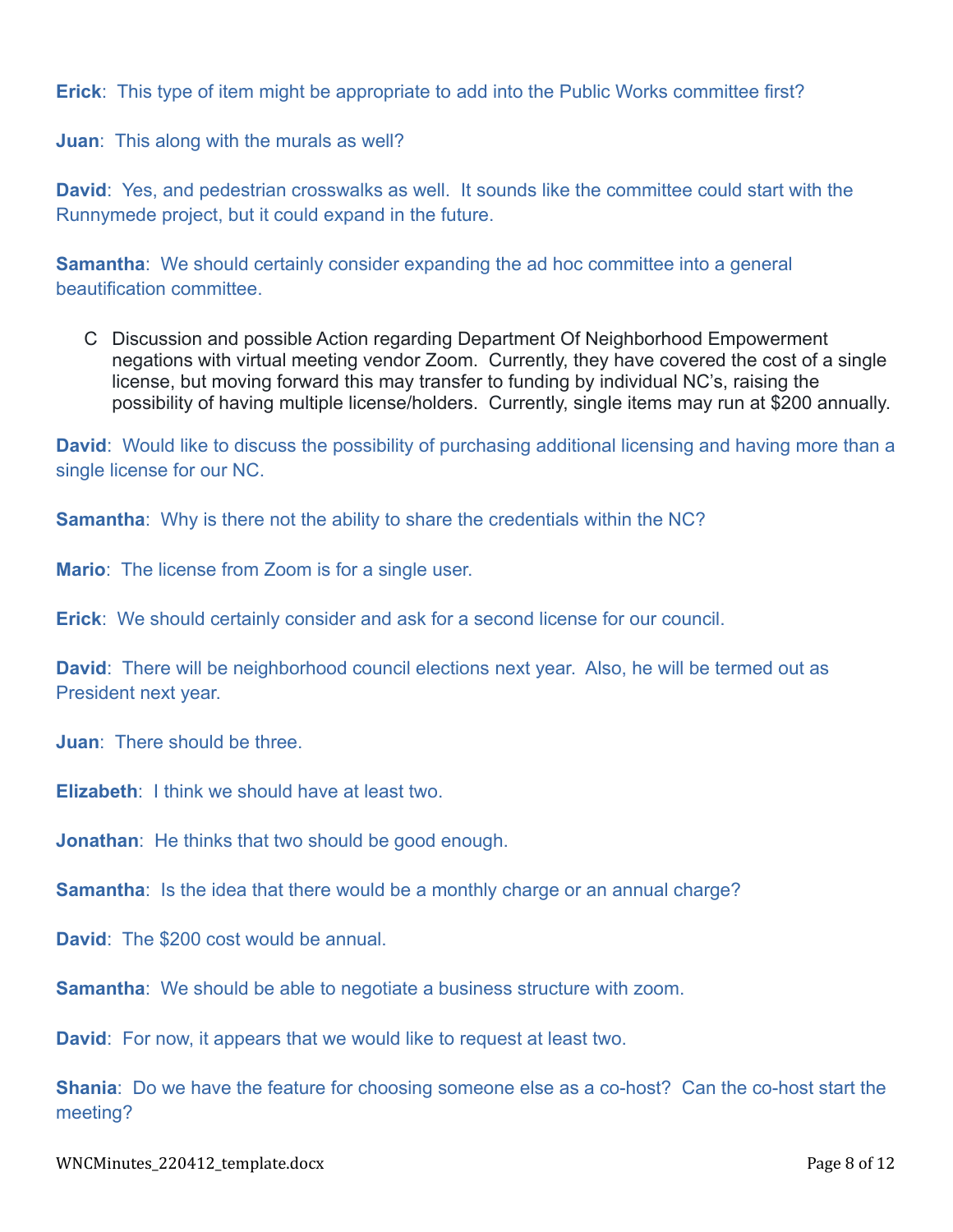**Erick**: This type of item might be appropriate to add into the Public Works committee first?

**Juan**: This along with the murals as well?

**David**: Yes, and pedestrian crosswalks as well. It sounds like the committee could start with the Runnymede project, but it could expand in the future.

**Samantha:** We should certainly consider expanding the ad hoc committee into a general beautification committee.

C Discussion and possible Action regarding Department Of Neighborhood Empowerment negations with virtual meeting vendor Zoom. Currently, they have covered the cost of a single license, but moving forward this may transfer to funding by individual NC's, raising the possibility of having multiple license/holders. Currently, single items may run at \$200 annually.

**David**: Would like to discuss the possibility of purchasing additional licensing and having more than a single license for our NC.

**Samantha**: Why is there not the ability to share the credentials within the NC?

**Mario**: The license from Zoom is for a single user.

**Erick**: We should certainly consider and ask for a second license for our council.

**David**: There will be neighborhood council elections next year. Also, he will be termed out as President next year.

**Juan**: There should be three.

**Elizabeth**: I think we should have at least two.

**Jonathan**: He thinks that two should be good enough.

**Samantha**: Is the idea that there would be a monthly charge or an annual charge?

**David**: The \$200 cost would be annual.

**Samantha**: We should be able to negotiate a business structure with zoom.

**David**: For now, it appears that we would like to request at least two.

**Shania**: Do we have the feature for choosing someone else as a co-host? Can the co-host start the meeting?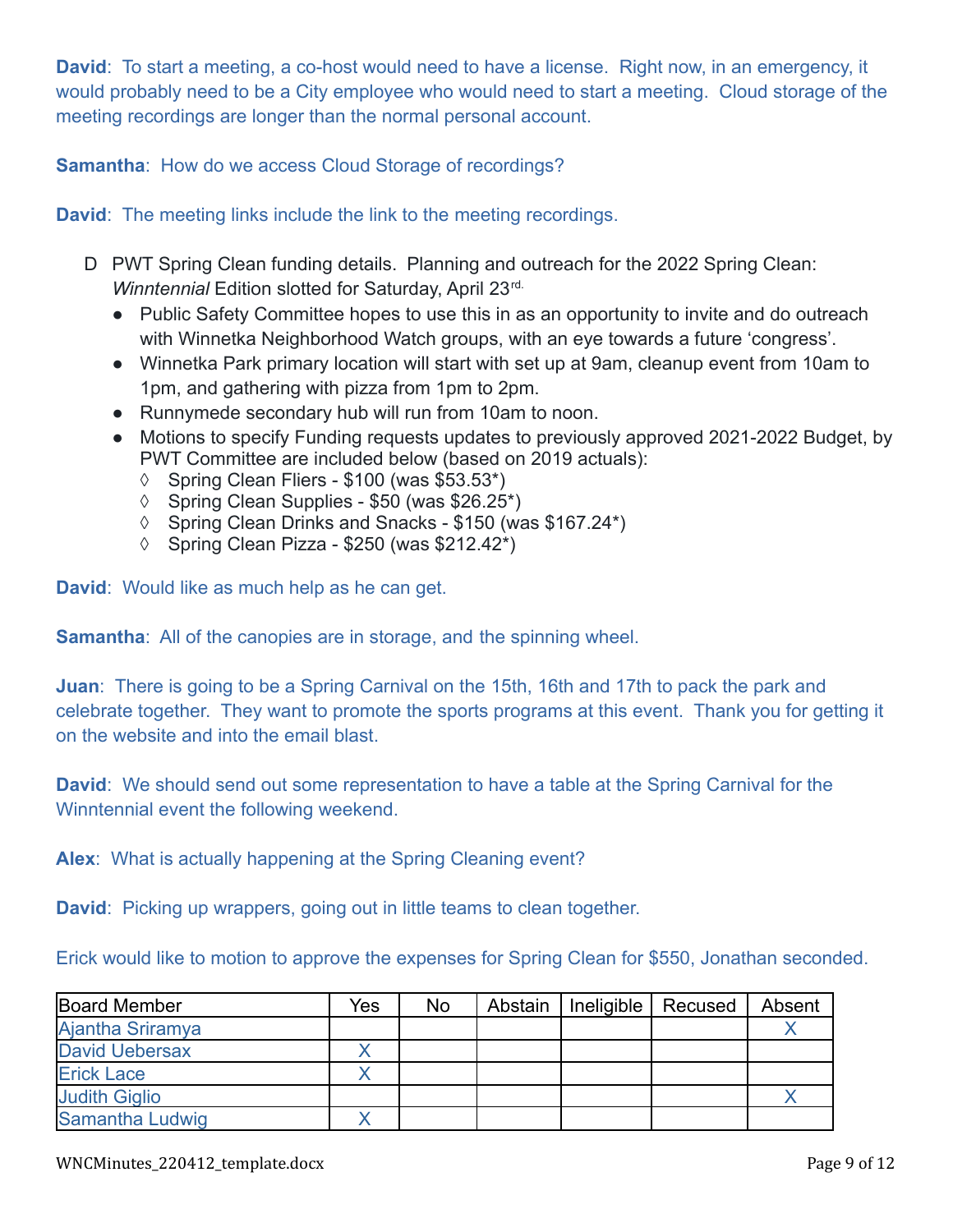**David**: To start a meeting, a co-host would need to have a license. Right now, in an emergency, it would probably need to be a City employee who would need to start a meeting. Cloud storage of the meeting recordings are longer than the normal personal account.

**Samantha**: How do we access Cloud Storage of recordings?

**David**: The meeting links include the link to the meeting recordings.

- D PWT Spring Clean funding details. Planning and outreach for the 2022 Spring Clean: *Winntennial Edition slotted for Saturday, April 23rd.* 
	- Public Safety Committee hopes to use this in as an opportunity to invite and do outreach with Winnetka Neighborhood Watch groups, with an eye towards a future 'congress'.
	- Winnetka Park primary location will start with set up at 9am, cleanup event from 10am to 1pm, and gathering with pizza from 1pm to 2pm.
	- Runnymede secondary hub will run from 10am to noon.
	- Motions to specify Funding requests updates to previously approved 2021-2022 Budget, by PWT Committee are included below (based on 2019 actuals):
		- $\lozenge$  Spring Clean Fliers \$100 (was \$53.53\*)
		- $\lozenge$  Spring Clean Supplies \$50 (was \$26.25<sup>\*</sup>)
		- ◊ Spring Clean Drinks and Snacks \$150 (was \$167.24\*)
		- $\lozenge$  Spring Clean Pizza \$250 (was \$212.42\*)

**David**: Would like as much help as he can get.

**Samantha**: All of the canopies are in storage, and the spinning wheel.

**Juan**: There is going to be a Spring Carnival on the 15th, 16th and 17th to pack the park and celebrate together. They want to promote the sports programs at this event. Thank you for getting it on the website and into the email blast.

**David**: We should send out some representation to have a table at the Spring Carnival for the Winntennial event the following weekend.

**Alex**: What is actually happening at the Spring Cleaning event?

**David**: Picking up wrappers, going out in little teams to clean together.

Erick would like to motion to approve the expenses for Spring Clean for \$550, Jonathan seconded.

| Board Member         | Yes | <b>No</b> | Abstain   Ineligible | Recused | Absent |
|----------------------|-----|-----------|----------------------|---------|--------|
| Ajantha Sriramya     |     |           |                      |         |        |
| David Uebersax       |     |           |                      |         |        |
| <b>Erick Lace</b>    |     |           |                      |         |        |
| <b>Judith Giglio</b> |     |           |                      |         |        |
| Samantha Ludwig      |     |           |                      |         |        |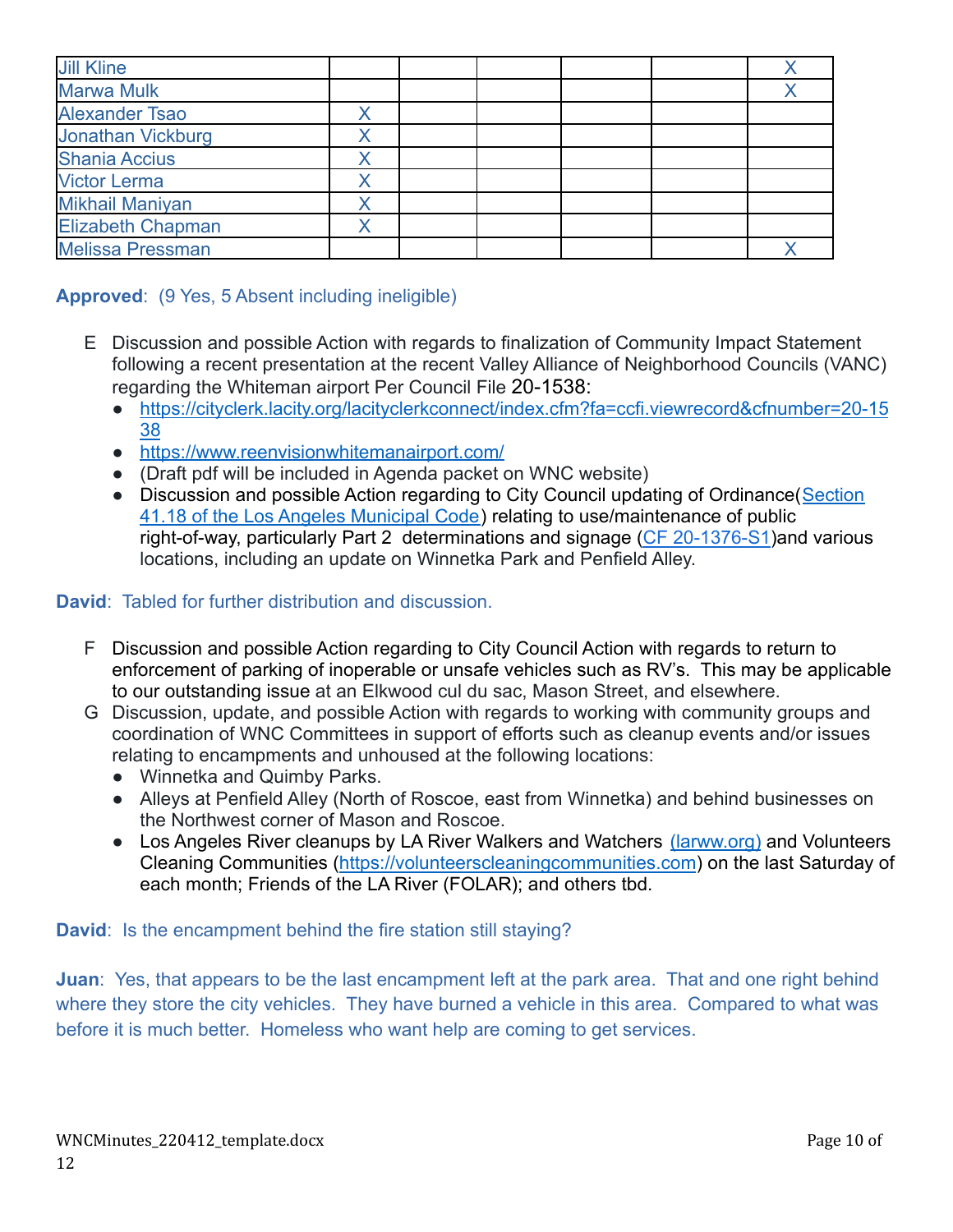| <b>Jill Kline</b>        |  |  |  |
|--------------------------|--|--|--|
| <b>Marwa Mulk</b>        |  |  |  |
| <b>Alexander Tsao</b>    |  |  |  |
| Jonathan Vickburg        |  |  |  |
| <b>Shania Accius</b>     |  |  |  |
| <b>Victor Lerma</b>      |  |  |  |
| <b>Mikhail Maniyan</b>   |  |  |  |
| <b>Elizabeth Chapman</b> |  |  |  |
| <b>Melissa Pressman</b>  |  |  |  |

# **Approved**: (9 Yes, 5 Absent including ineligible)

- E Discussion and possible Action with regards to finalization of Community Impact Statement following a recent presentation at the recent Valley Alliance of Neighborhood Councils (VANC) regarding the Whiteman airport Per Council File 20-1538:
	- [https://cityclerk.lacity.org/lacityclerkconnect/index.cfm?fa=ccfi.viewrecord&cfnumber=20-15](https://cityclerk.lacity.org/lacityclerkconnect/index.cfm?fa=ccfi.viewrecord&cfnumber=20-1538) [38](https://cityclerk.lacity.org/lacityclerkconnect/index.cfm?fa=ccfi.viewrecord&cfnumber=20-1538)
	- <https://www.reenvisionwhitemanairport.com/>
	- (Draft pdf will be included in Agenda packet on WNC website)
	- Discussion and possible Action regarding to City Council updating of Ordinance ([Section](https://clkrep.lacity.org/onlinedocs/2020/20-1376-S1_ord_187127_09-03-21.pdf) [41.18 of the Los Angeles Municipal Code\)](https://clkrep.lacity.org/onlinedocs/2020/20-1376-S1_ord_187127_09-03-21.pdf) relating to use/maintenance of public right-of-way, particularly Part 2 determinations and signage [\(CF 20-1376-S1](https://cityclerk.lacity.org/lacityclerkconnect/index.cfm?fa=ccfi.viewrecord&cfnumber=20-1376-S1))and various locations, including an update on Winnetka Park and Penfield Alley.

### **David**: Tabled for further distribution and discussion.

- F Discussion and possible Action regarding to City Council Action with regards to return to enforcement of parking of inoperable or unsafe vehicles such as RV's. This may be applicable to our outstanding issue at an Elkwood cul du sac, Mason Street, and elsewhere.
- G Discussion, update, and possible Action with regards to working with community groups and coordination of WNC Committees in support of efforts such as cleanup events and/or issues relating to encampments and unhoused at the following locations:
	- Winnetka and Quimby Parks.
	- Alleys at Penfield Alley (North of Roscoe, east from Winnetka) and behind businesses on the Northwest corner of Mason and Roscoe.
	- Los Angeles River cleanups by LA River Walkers and Watchers [\(larww.org\)](http://larww.org/) and Volunteers Cleaning Communities (<https://volunteerscleaningcommunities.com>) on the last Saturday of each month; Friends of the LA River (FOLAR); and others tbd.

**David**: Is the encampment behind the fire station still staying?

**Juan**: Yes, that appears to be the last encampment left at the park area. That and one right behind where they store the city vehicles. They have burned a vehicle in this area. Compared to what was before it is much better. Homeless who want help are coming to get services.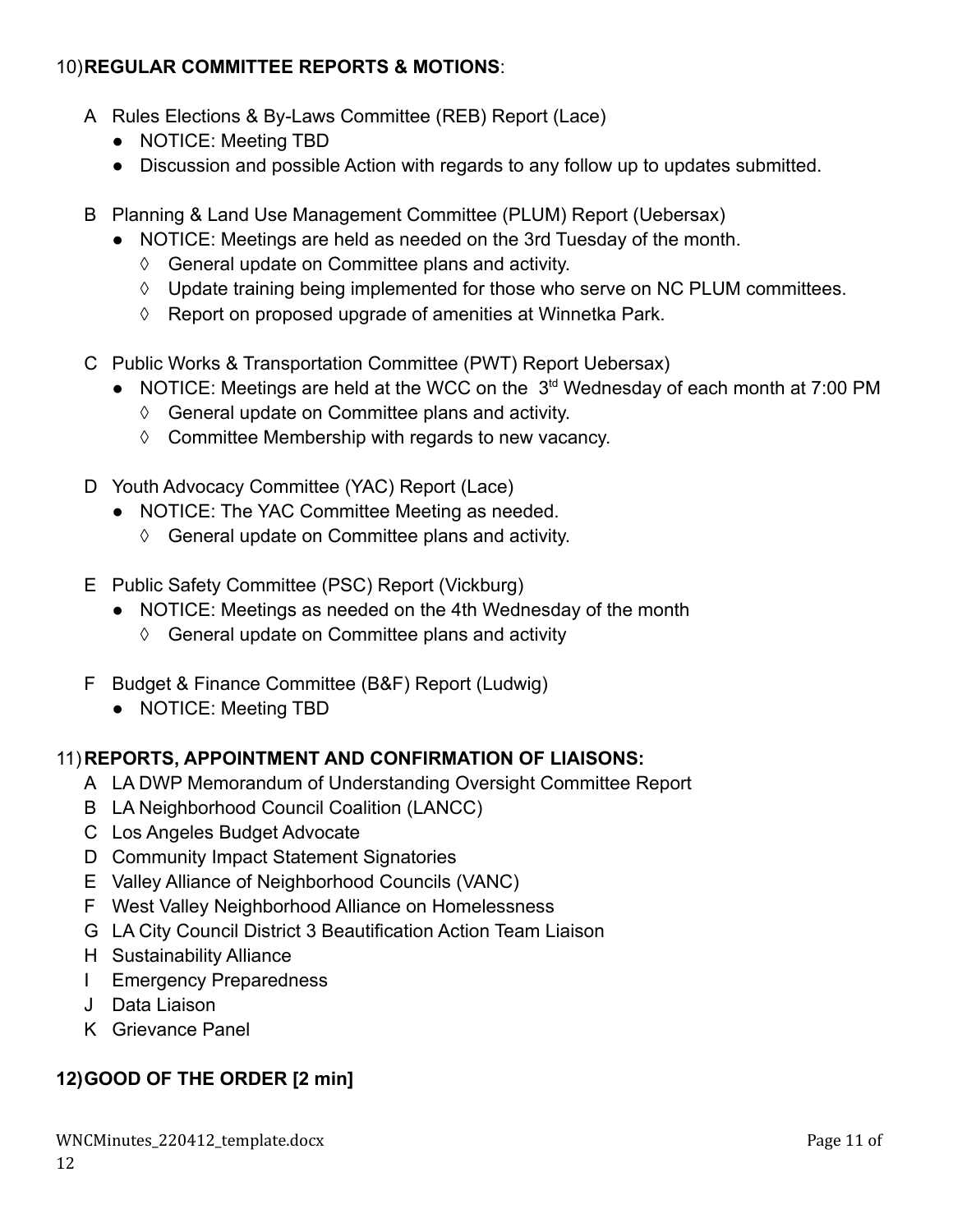# 10)**REGULAR COMMITTEE REPORTS & MOTIONS**:

- A Rules Elections & By-Laws Committee (REB) Report (Lace)
	- **●** NOTICE: Meeting TBD
	- **●** Discussion and possible Action with regards to any follow up to updates submitted.
- B Planning & Land Use Management Committee (PLUM) Report (Uebersax)
	- NOTICE: Meetings are held as needed on the 3rd Tuesday of the month.
		- ◊ General update on Committee plans and activity.
		- ◊ Update training being implemented for those who serve on NC PLUM committees.
		- ◊ Report on proposed upgrade of amenities at Winnetka Park.
- C Public Works & Transportation Committee (PWT) Report Uebersax)
	- NOTICE: Meetings are held at the WCC on the 3<sup>td</sup> Wednesday of each month at 7:00 PM
		- ◊ General update on Committee plans and activity.
		- ◊ Committee Membership with regards to new vacancy.
- D Youth Advocacy Committee (YAC) Report (Lace)
	- NOTICE: The YAC Committee Meeting as needed.
		- ◊ General update on Committee plans and activity.
- E Public Safety Committee (PSC) Report (Vickburg)
	- NOTICE: Meetings as needed on the 4th Wednesday of the month
		- ◊ General update on Committee plans and activity
- F Budget & Finance Committee (B&F) Report (Ludwig)
	- NOTICE: Meeting TBD

### 11)**REPORTS, APPOINTMENT AND CONFIRMATION OF LIAISONS:**

- A LA DWP Memorandum of Understanding Oversight Committee Report
- B LA Neighborhood Council Coalition (LANCC)
- C Los Angeles Budget Advocate
- D Community Impact Statement Signatories
- E Valley Alliance of Neighborhood Councils (VANC)
- F West Valley Neighborhood Alliance on Homelessness
- G LA City Council District 3 Beautification Action Team Liaison
- H Sustainability Alliance
- I Emergency Preparedness
- J Data Liaison
- K Grievance Panel

# **12)GOOD OF THE ORDER [2 min]**